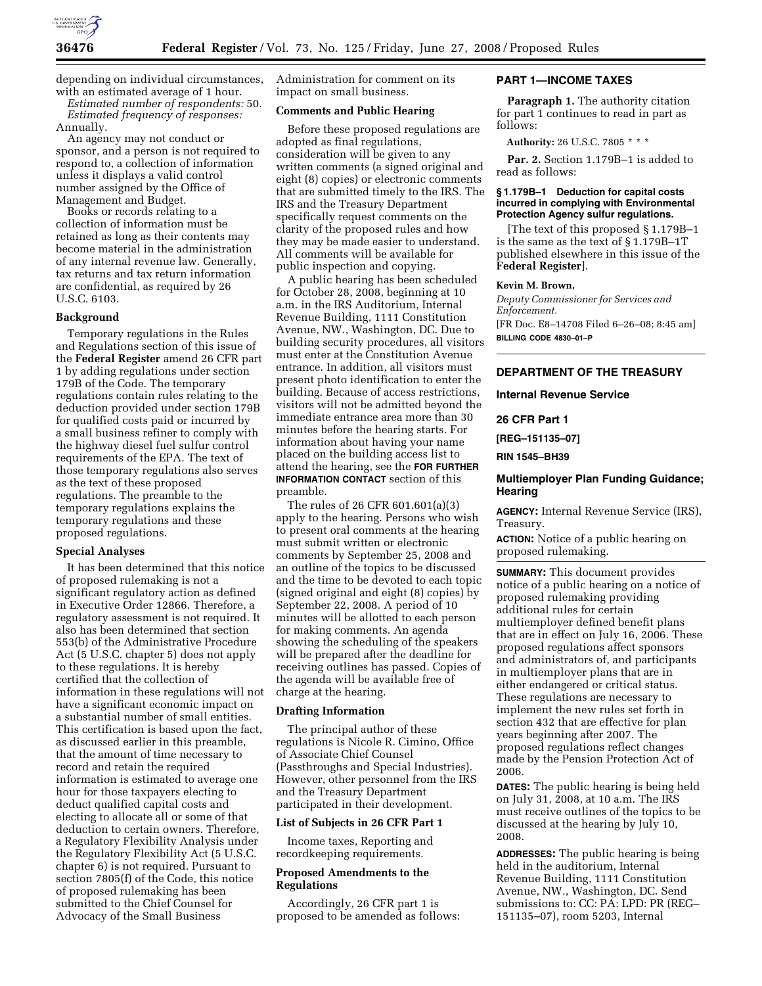

depending on individual circumstances, with an estimated average of 1 hour.

*Estimated number of respondents:* 50. *Estimated frequency of responses:*  Annually.

An agency may not conduct or sponsor, and a person is not required to respond to, a collection of information unless it displays a valid control number assigned by the Office of Management and Budget.

Books or records relating to a collection of information must be retained as long as their contents may become material in the administration of any internal revenue law. Generally, tax returns and tax return information are confidential, as required by 26 U.S.C. 6103.

#### **Background**

Temporary regulations in the Rules and Regulations section of this issue of the **Federal Register** amend 26 CFR part 1 by adding regulations under section 179B of the Code. The temporary regulations contain rules relating to the deduction provided under section 179B for qualified costs paid or incurred by a small business refiner to comply with the highway diesel fuel sulfur control requirements of the EPA. The text of those temporary regulations also serves as the text of these proposed regulations. The preamble to the temporary regulations explains the temporary regulations and these proposed regulations.

#### **Special Analyses**

It has been determined that this notice of proposed rulemaking is not a significant regulatory action as defined in Executive Order 12866. Therefore, a regulatory assessment is not required. It also has been determined that section 553(b) of the Administrative Procedure Act (5 U.S.C. chapter 5) does not apply to these regulations. It is hereby certified that the collection of information in these regulations will not have a significant economic impact on a substantial number of small entities. This certification is based upon the fact, as discussed earlier in this preamble, that the amount of time necessary to record and retain the required information is estimated to average one hour for those taxpayers electing to deduct qualified capital costs and electing to allocate all or some of that deduction to certain owners. Therefore, a Regulatory Flexibility Analysis under the Regulatory Flexibility Act (5 U.S.C. chapter 6) is not required. Pursuant to section 7805(f) of the Code, this notice of proposed rulemaking has been submitted to the Chief Counsel for Advocacy of the Small Business

Administration for comment on its impact on small business.

# **Comments and Public Hearing**

Before these proposed regulations are adopted as final regulations, consideration will be given to any written comments (a signed original and eight (8) copies) or electronic comments that are submitted timely to the IRS. The IRS and the Treasury Department specifically request comments on the clarity of the proposed rules and how they may be made easier to understand. All comments will be available for public inspection and copying.

A public hearing has been scheduled for October 28, 2008, beginning at 10 a.m. in the IRS Auditorium, Internal Revenue Building, 1111 Constitution Avenue, NW., Washington, DC. Due to building security procedures, all visitors must enter at the Constitution Avenue entrance. In addition, all visitors must present photo identification to enter the building. Because of access restrictions, visitors will not be admitted beyond the immediate entrance area more than 30 minutes before the hearing starts. For information about having your name placed on the building access list to attend the hearing, see the **FOR FURTHER INFORMATION CONTACT** section of this preamble.

The rules of 26 CFR 601.601(a)(3) apply to the hearing. Persons who wish to present oral comments at the hearing must submit written or electronic comments by September 25, 2008 and an outline of the topics to be discussed and the time to be devoted to each topic (signed original and eight (8) copies) by September 22, 2008. A period of 10 minutes will be allotted to each person for making comments. An agenda showing the scheduling of the speakers will be prepared after the deadline for receiving outlines has passed. Copies of the agenda will be available free of charge at the hearing.

## **Drafting Information**

The principal author of these regulations is Nicole R. Cimino, Office of Associate Chief Counsel (Passthroughs and Special Industries). However, other personnel from the IRS and the Treasury Department participated in their development.

# **List of Subjects in 26 CFR Part 1**

Income taxes, Reporting and recordkeeping requirements.

# **Proposed Amendments to the Regulations**

Accordingly, 26 CFR part 1 is proposed to be amended as follows:

### **PART 1—INCOME TAXES**

**Paragraph 1.** The authority citation for part 1 continues to read in part as follows:

**Authority:** 26 U.S.C. 7805 \* \* \*

**Par. 2.** Section 1.179B–1 is added to read as follows:

## **§ 1.179B–1 Deduction for capital costs incurred in complying with Environmental Protection Agency sulfur regulations.**

[The text of this proposed § 1.179B–1 is the same as the text of § 1.179B–1T published elsewhere in this issue of the **Federal Register**].

# **Kevin M. Brown,**

*Deputy Commissioner for Services and Enforcement.* 

[FR Doc. E8–14708 Filed 6–26–08; 8:45 am] **BILLING CODE 4830–01–P** 

# **DEPARTMENT OF THE TREASURY**

#### **Internal Revenue Service**

#### **26 CFR Part 1**

**[REG–151135–07]** 

**RIN 1545–BH39** 

# **Multiemployer Plan Funding Guidance; Hearing**

**AGENCY:** Internal Revenue Service (IRS), Treasury.

**ACTION:** Notice of a public hearing on proposed rulemaking.

**SUMMARY:** This document provides notice of a public hearing on a notice of proposed rulemaking providing additional rules for certain multiemployer defined benefit plans that are in effect on July 16, 2006. These proposed regulations affect sponsors and administrators of, and participants in multiemployer plans that are in either endangered or critical status. These regulations are necessary to implement the new rules set forth in section 432 that are effective for plan years beginning after 2007. The proposed regulations reflect changes made by the Pension Protection Act of 2006.

**DATES:** The public hearing is being held on July 31, 2008, at 10 a.m. The IRS must receive outlines of the topics to be discussed at the hearing by July 10, 2008.

**ADDRESSES:** The public hearing is being held in the auditorium, Internal Revenue Building, 1111 Constitution Avenue, NW., Washington, DC. Send submissions to: CC: PA: LPD: PR (REG– 151135–07), room 5203, Internal